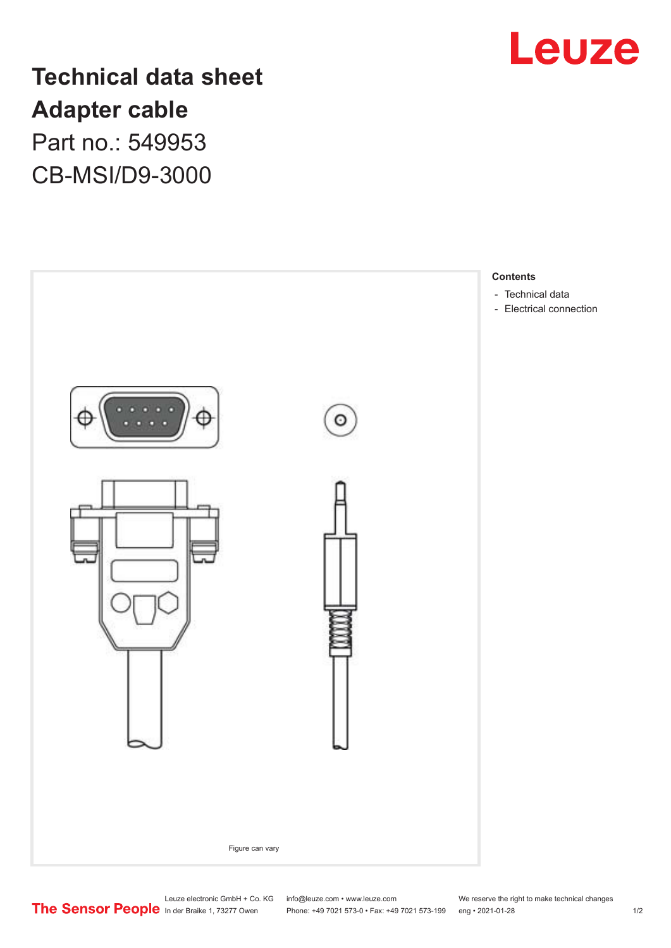

**Technical data sheet Adapter cable** Part no.: 549953 CB-MSI/D9-3000



Leuze electronic GmbH + Co. KG info@leuze.com • www.leuze.com We reserve the right to make technical changes<br>
The Sensor People in der Braike 1, 73277 Owen Phone: +49 7021 573-0 • Fax: +49 7021 573-199 eng • 2021-01-28